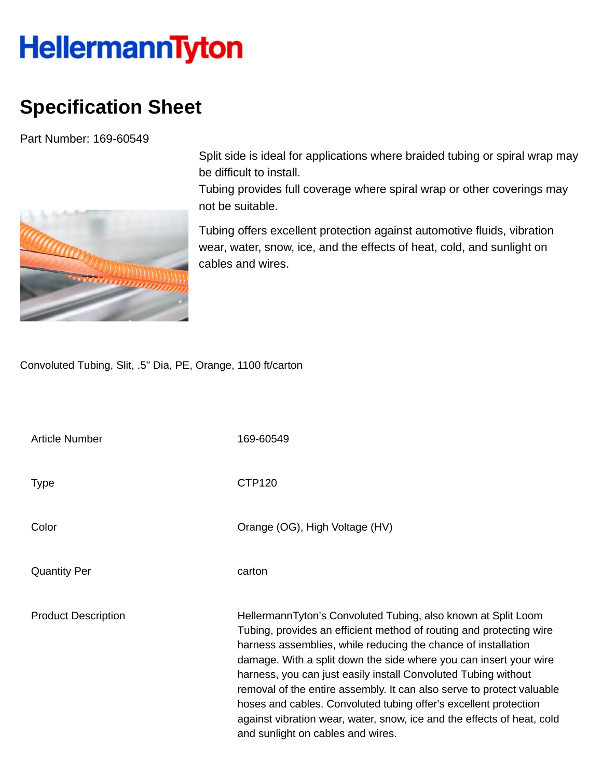## **HellermannTyton**

## **Specification Sheet**

Part Number: 169-60549



Split side is ideal for applications where braided tubing or spiral wrap may be difficult to install.

Tubing provides full coverage where spiral wrap or other coverings may not be suitable.

Tubing offers excellent protection against automotive fluids, vibration wear, water, snow, ice, and the effects of heat, cold, and sunlight on cables and wires.

Convoluted Tubing, Slit, .5" Dia, PE, Orange, 1100 ft/carton

| <b>Article Number</b>      | 169-60549                                                                                                                                                                                                                                                                                                                                                                                                                                                                                                                                                                                                |
|----------------------------|----------------------------------------------------------------------------------------------------------------------------------------------------------------------------------------------------------------------------------------------------------------------------------------------------------------------------------------------------------------------------------------------------------------------------------------------------------------------------------------------------------------------------------------------------------------------------------------------------------|
| Type                       | CTP <sub>120</sub>                                                                                                                                                                                                                                                                                                                                                                                                                                                                                                                                                                                       |
| Color                      | Orange (OG), High Voltage (HV)                                                                                                                                                                                                                                                                                                                                                                                                                                                                                                                                                                           |
| <b>Quantity Per</b>        | carton                                                                                                                                                                                                                                                                                                                                                                                                                                                                                                                                                                                                   |
| <b>Product Description</b> | HellermannTyton's Convoluted Tubing, also known at Split Loom<br>Tubing, provides an efficient method of routing and protecting wire<br>harness assemblies, while reducing the chance of installation<br>damage. With a split down the side where you can insert your wire<br>harness, you can just easily install Convoluted Tubing without<br>removal of the entire assembly. It can also serve to protect valuable<br>hoses and cables. Convoluted tubing offer's excellent protection<br>against vibration wear, water, snow, ice and the effects of heat, cold<br>and sunlight on cables and wires. |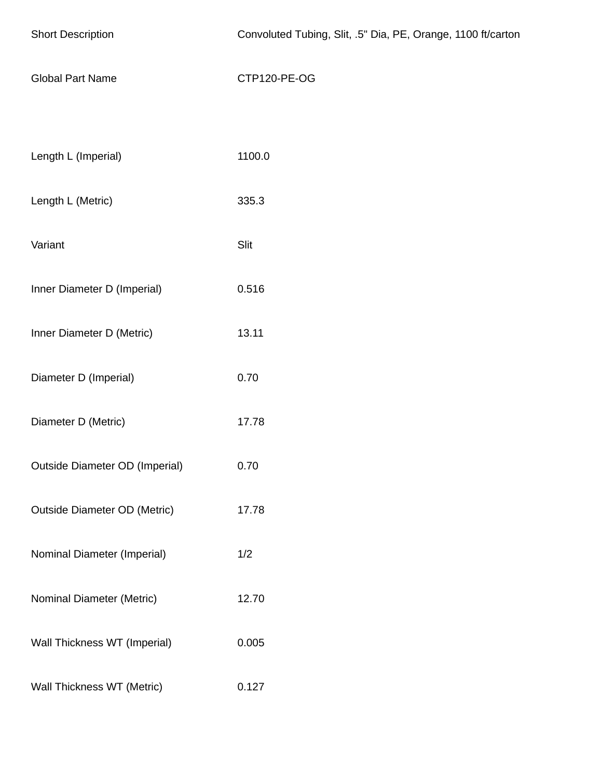| <b>Short Description</b>            | Convoluted Tubing, Slit, .5" Dia, PE, Orange, 1100 ft/carton |
|-------------------------------------|--------------------------------------------------------------|
| <b>Global Part Name</b>             | CTP120-PE-OG                                                 |
|                                     |                                                              |
| Length L (Imperial)                 | 1100.0                                                       |
| Length L (Metric)                   | 335.3                                                        |
| Variant                             | Slit                                                         |
| Inner Diameter D (Imperial)         | 0.516                                                        |
| Inner Diameter D (Metric)           | 13.11                                                        |
| Diameter D (Imperial)               | 0.70                                                         |
| Diameter D (Metric)                 | 17.78                                                        |
| Outside Diameter OD (Imperial)      | 0.70                                                         |
| <b>Outside Diameter OD (Metric)</b> | 17.78                                                        |
| Nominal Diameter (Imperial)         | 1/2                                                          |
| Nominal Diameter (Metric)           | 12.70                                                        |
| Wall Thickness WT (Imperial)        | 0.005                                                        |
| Wall Thickness WT (Metric)          | 0.127                                                        |